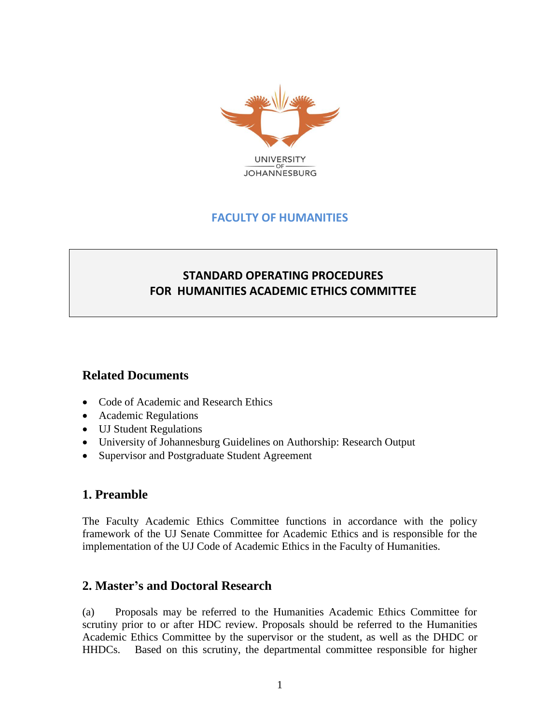

# **FACULTY OF HUMANITIES**

# **STANDARD OPERATING PROCEDURES FOR HUMANITIES ACADEMIC ETHICS COMMITTEE**

### **Related Documents**

- Code of Academic and Research Ethics
- Academic Regulations
- UJ Student Regulations
- University of Johannesburg Guidelines on Authorship: Research Output
- Supervisor and Postgraduate Student Agreement

### **1. Preamble**

The Faculty Academic Ethics Committee functions in accordance with the policy framework of the UJ Senate Committee for Academic Ethics and is responsible for the implementation of the UJ Code of Academic Ethics in the Faculty of Humanities.

### **2. Master's and Doctoral Research**

(a) Proposals may be referred to the Humanities Academic Ethics Committee for scrutiny prior to or after HDC review. Proposals should be referred to the Humanities Academic Ethics Committee by the supervisor or the student, as well as the DHDC or HHDCs. Based on this scrutiny, the departmental committee responsible for higher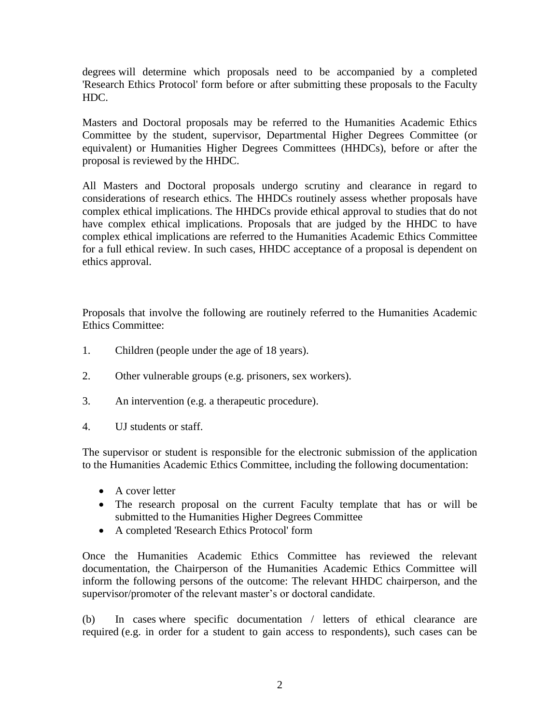degrees will determine which proposals need to be accompanied by a completed 'Research Ethics Protocol' form before or after submitting these proposals to the Faculty HDC.

Masters and Doctoral proposals may be referred to the Humanities Academic Ethics Committee by the student, supervisor, Departmental Higher Degrees Committee (or equivalent) or Humanities Higher Degrees Committees (HHDCs), before or after the proposal is reviewed by the HHDC.

All Masters and Doctoral proposals undergo scrutiny and clearance in regard to considerations of research ethics. The HHDCs routinely assess whether proposals have complex ethical implications. The HHDCs provide ethical approval to studies that do not have complex ethical implications. Proposals that are judged by the HHDC to have complex ethical implications are referred to the Humanities Academic Ethics Committee for a full ethical review. In such cases, HHDC acceptance of a proposal is dependent on ethics approval.

Proposals that involve the following are routinely referred to the Humanities Academic Ethics Committee:

- 1. Children (people under the age of 18 years).
- 2. Other vulnerable groups (e.g. prisoners, sex workers).
- 3. An intervention (e.g. a therapeutic procedure).
- 4. UJ students or staff.

The supervisor or student is responsible for the electronic submission of the application to the Humanities Academic Ethics Committee, including the following documentation:

- A cover letter
- The research proposal on the current Faculty template that has or will be submitted to the Humanities Higher Degrees Committee
- A completed 'Research Ethics Protocol' form

Once the Humanities Academic Ethics Committee has reviewed the relevant documentation, the Chairperson of the Humanities Academic Ethics Committee will inform the following persons of the outcome: The relevant HHDC chairperson, and the supervisor/promoter of the relevant master's or doctoral candidate.

(b) In cases where specific documentation / letters of ethical clearance are required (e.g. in order for a student to gain access to respondents), such cases can be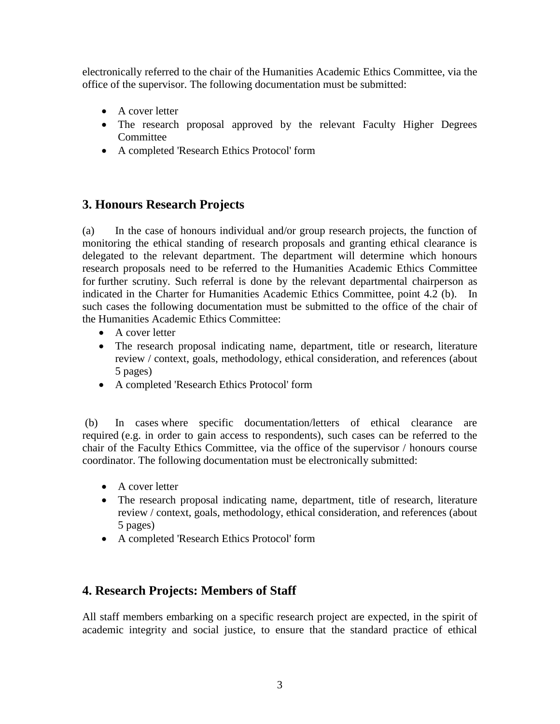electronically referred to the chair of the Humanities Academic Ethics Committee, via the office of the supervisor. The following documentation must be submitted:

- A cover letter
- The research proposal approved by the relevant Faculty Higher Degrees Committee
- A completed 'Research Ethics Protocol' form

# **3. Honours Research Projects**

(a) In the case of honours individual and/or group research projects, the function of monitoring the ethical standing of research proposals and granting ethical clearance is delegated to the relevant department. The department will determine which honours research proposals need to be referred to the Humanities Academic Ethics Committee for further scrutiny. Such referral is done by the relevant departmental chairperson as indicated in the Charter for Humanities Academic Ethics Committee, point 4.2 (b). In such cases the following documentation must be submitted to the office of the chair of the Humanities Academic Ethics Committee:

- A cover letter
- The research proposal indicating name, department, title or research, literature review / context, goals, methodology, ethical consideration, and references (about 5 pages)
- A completed 'Research Ethics Protocol' form

(b) In cases where specific documentation/letters of ethical clearance are required (e.g. in order to gain access to respondents), such cases can be referred to the chair of the Faculty Ethics Committee, via the office of the supervisor / honours course coordinator. The following documentation must be electronically submitted:

- A cover letter
- The research proposal indicating name, department, title of research, literature review / context, goals, methodology, ethical consideration, and references (about 5 pages)
- A completed 'Research Ethics Protocol' form

### **4. Research Projects: Members of Staff**

All staff members embarking on a specific research project are expected, in the spirit of academic integrity and social justice, to ensure that the standard practice of ethical